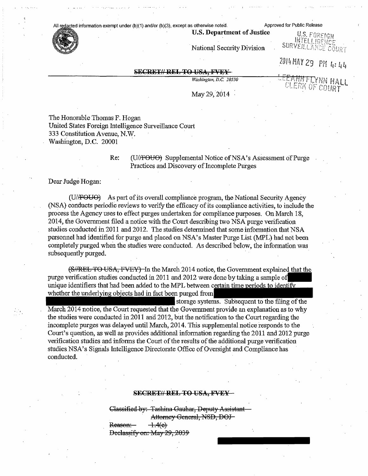### All redacted information exempt under (b)(1) and/or (b)(3), except as otherwise noted. Approved for Public Release



**U.S. Department of Justice**<br>MIELLIBENCE National Security Division SURVEIL LANCE COURT

2014 MAY 29 PM 4: 44

# **SECRET// REL TO USA, FVEY**

*Washington, D.C. 20330*

EFANHF LYNN HALL *uOUR.T*

May 29, 2014

The Honorable Thomas F. Hogan United States Foreign Intelligence Surveillance Court 333 Constitution Avenue, N.W. Washington, D.C. 20001

> Re: (U/FOUO) Supplemental Notice of NSA's Assessment of Purge Practices and Discovery of Incomplete Purges

Dear Judge Hogan:

 $(U/F<sub>OU</sub>)$  As part of its overall compliance program, the National Security Agency (NSA) conducts periodic reviews to verify the efficacy ofits compliance activities, to include the process the Agency uses to effect purges undertaken for compliance purposes. On March 18, 2014, the Government filed a notice with the Court describing two NSA purge verification studies conducted in 2011 and 2012. The studies determined that some information that NSA personnel had identified for purge and placed on NSA's Master Purge List (MPL) had not been completely purged when the studies were conducted. As described below, the information was subsequently purged.

(S//REL TO USA, FVEY) In the March 2014 notice, the Government explained that the purge verification studies conducted in 2011 and 2012 were done by taking a sample of| unique identifiers that had been added to the MPL between certain time periods to identi whether the underlying objects had in fact been purged from

storage systems. Subsequent to the filing of the . March 2014 notice, the Court requested that the Government provide an explanation as to why the studies were conducted in 2011 and 2012, but the notification to the Court regarding the incomplete purges was delayed until March, 2014. This supplemental notice responds to the Court's question, as well as provides additional information regarding the 2011 and 2012 purge verification studies and informs the Court of the results of the additional purge verification

studies NSA's Signals Intelligence Directorate Office of Oversight and Compliance has conducted.

## **SECRET// REL TO USA, FVEY -**

Classified by: Tashina Gauhar. Deputy Assistant Attorney General, NSD, DOJ-

 $-1.4(e)$ Reason:

Declassify on: May 29, 2039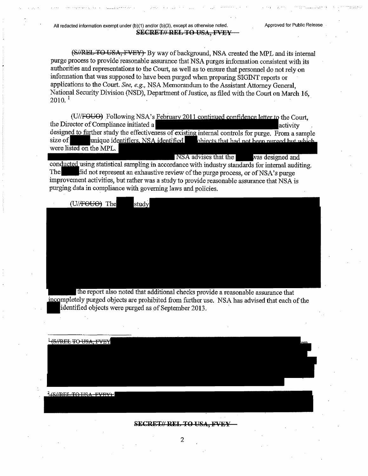(S//REL TO USA, FVEY) By way of background, NSA created the MPL and its internal purge process to provide reasonable assurance that NSA purges information consistent with its authorities and representations to the Court, as well as to ensure that personnel do not rely on information that was supposed to have been purged when preparing SIGINT reports or applications to the Court. *See, e.g,* NSA Memorandum to the Assistant Attorney General, National Security Division (NSD), Department of Justice, as filed with the Court on March 16,  $2010^{-1}$ 

(U//FOUO) Following NSA's February 2011 continued confidence letter to the Court, the Director of Compliance initiated a activity designed to further study the effectiveness of existing internal controls for purge. From a sample size of unique identifiers. NSA identified objects that had not been nurged but which were li<del>sted on t</del>he MPL.

NSA advises that the was designed and conducted using statistical sampling in accordance with industry standards for internal auditing. The did not represent an exhaustive review of the purge process, or of NSA's purge improvement activities, but rather was a study to provide reasonable assurance that NSA is purging data in compliance with governing laws and policies.

(U/FOUO) The study

the report also noted that additional checks provide a reasonable assurance that incompletely purged objects are prohibited from further use. NSA has advised that each of the identified objects were purged as of September 2013.

<sup>1</sup>(S//REL TO USA, FVEY  $2$ CLIRTI TO IKA FVRY

#### **SECRET// REL TO USA, W1A-**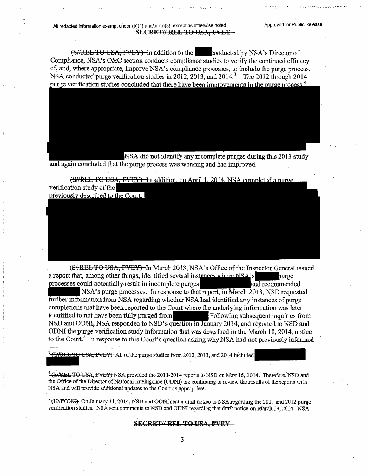(S//REL TO USA, FVEY) In addition to the conducted by NSA's Director of Compliance, NSA's O&C section conducts compliance studies to verify the continued efficacy of, and, where appropriate, improve NSA's compliance processes, to include the purge process. NSA conducted purge verification studies in 2012, 2013, and 2014.<sup>3</sup> The 2012 through 2014 purge verification studies concluded that there have been improvements in the purge process.<sup>4</sup>

NSA did not identify any incomplete purges during this 2013 study and again concluded that the purge process was working and had improved.

(S//REL TO USA, FVEY) In addition, on April 1, 2014, NSA completed a purve verification study of the previously described to the Court.

(S//REL TO USA, FVEY) In March 2013, NSA's Office of the Inspector General issued a report that, among other things, identified several instances where NSA's a report that, among other things, identified several instances where NSA's purge processes could potentially result in incomplete purges and recommended

NSA's purge processes. In response to that report, in March 2013, NSD requested further information from NSA regarding whether NSA had identified any instances of purge completions that have been reported to the Court where the underlying information was later identified to not have been fully purged Following subsequent inquiries from NSD and ODNI, NSA responded to NSD's question in January 2014, and reported to NSD and ODNI the purge verification study information that was described in the March 18, 2014, notice to the Court.<sup>5</sup> In response to this Court's question asking why NSA had not previously informed

 $\frac{3}{16}$ //REL TO USA, FVEY)- All of the purge studies from 2012, 2013, and 2014 included

<sup>4</sup> (S//REL TO USA, FVEY) NSA provided the 2011-2014 reports to NSD on May 16, 2014. Therefore, NSD and the Office of the Director of National Intelligence (ODNI) are continuing to review the results of the reports with NSA and will provide additional updates to the Court as appropriate.

 $5$  (U//FOUO)- On January 31, 2014, NSD and ODNI sent a draft notice to NSA regarding the 2011 and 2012 purge verification studies. NSA sent comments to NSD and ODNI regarding that draft notice on March. 13,2014. NSA

### **SECRET// REL TO USA, FVEY**